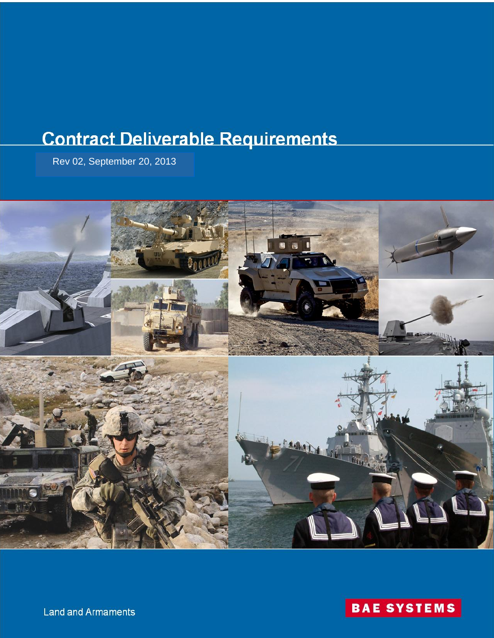# **Contract Deliverable Requirements**

Rev 02, September 20, 2013





**Land and Armaments**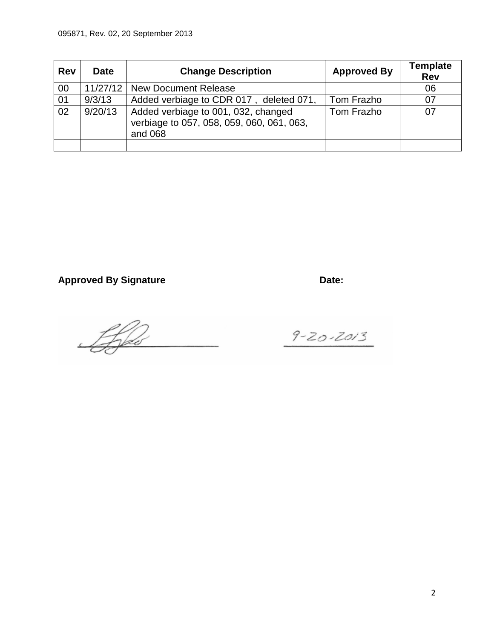| <b>Rev</b> | <b>Date</b> | <b>Change Description</b>                                                                   | <b>Approved By</b> | <b>Template</b><br><b>Rev</b> |
|------------|-------------|---------------------------------------------------------------------------------------------|--------------------|-------------------------------|
| 00         | 11/27/12    | <b>New Document Release</b>                                                                 |                    | 06                            |
| 01         | 9/3/13      | Added verbiage to CDR 017, deleted 071,                                                     | Tom Frazho         | 07                            |
| 02         | 9/20/13     | Added verbiage to 001, 032, changed<br>verbiage to 057, 058, 059, 060, 061, 063,<br>and 068 | Tom Frazho         | 07                            |
|            |             |                                                                                             |                    |                               |

Approved By Signature **Date:** Date:

Lifes

 $9 - 20 - 2013$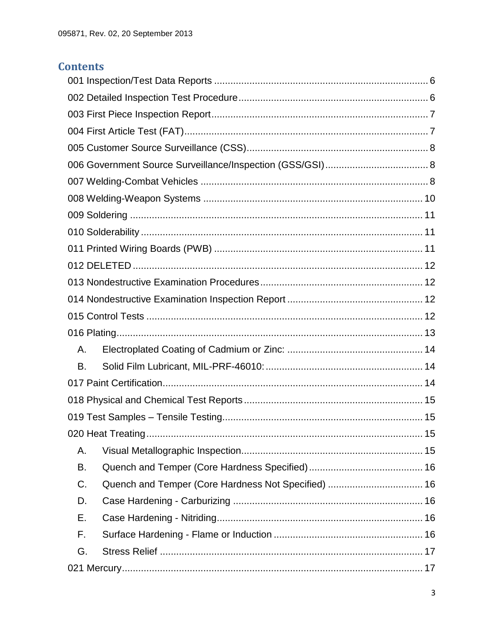# **Contents**

| Α.                                                        |
|-----------------------------------------------------------|
| В.                                                        |
|                                                           |
|                                                           |
|                                                           |
| . 15                                                      |
| Α.                                                        |
| В.                                                        |
| Quench and Temper (Core Hardness Not Specified)  16<br>C. |
| D.                                                        |
| Е.                                                        |
| F.                                                        |
| G.                                                        |
|                                                           |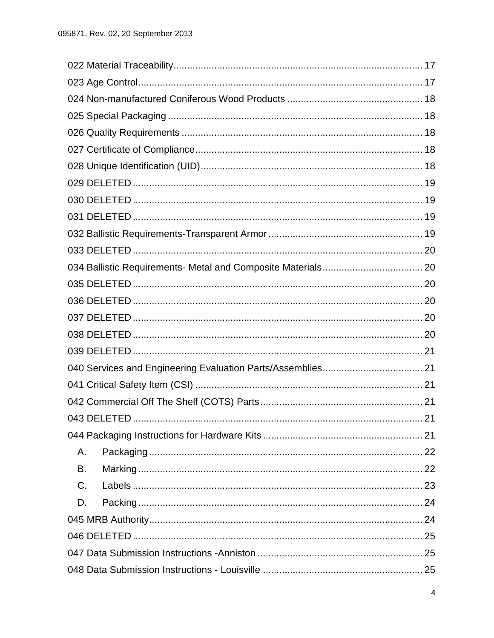|             | 21 |
|-------------|----|
|             |    |
| Α.          |    |
| В.          |    |
| $C_{\cdot}$ |    |
| D.          |    |
|             |    |
|             |    |
|             |    |
|             |    |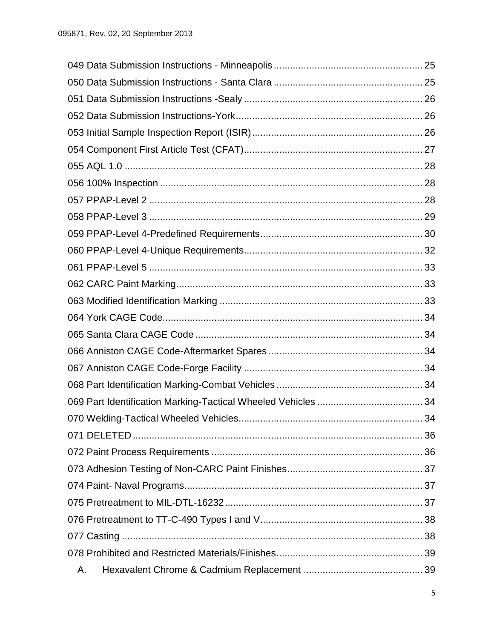|    | 34 |
|----|----|
|    |    |
|    |    |
|    |    |
|    |    |
|    |    |
|    |    |
|    |    |
|    |    |
| Α. |    |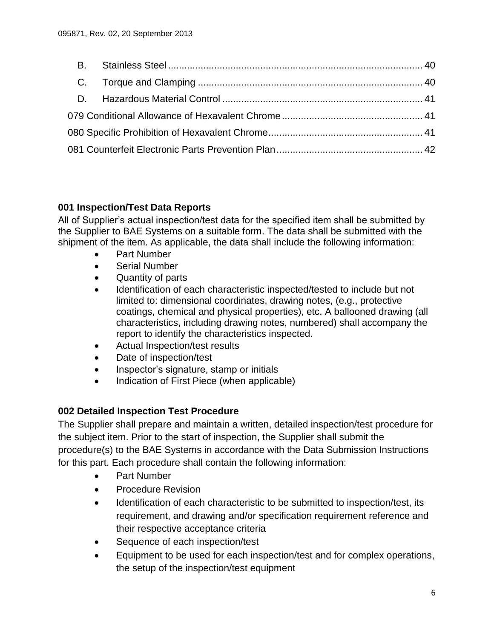## <span id="page-5-0"></span>**001 Inspection/Test Data Reports**

All of Supplier's actual inspection/test data for the specified item shall be submitted by the Supplier to BAE Systems on a suitable form. The data shall be submitted with the shipment of the item. As applicable, the data shall include the following information:

- Part Number
- Serial Number
- Quantity of parts
- Identification of each characteristic inspected/tested to include but not limited to: dimensional coordinates, drawing notes, (e.g., protective coatings, chemical and physical properties), etc. A ballooned drawing (all characteristics, including drawing notes, numbered) shall accompany the report to identify the characteristics inspected.
- Actual Inspection/test results
- Date of inspection/test
- Inspector's signature, stamp or initials
- Indication of First Piece (when applicable)

# <span id="page-5-1"></span>**002 Detailed Inspection Test Procedure**

The Supplier shall prepare and maintain a written, detailed inspection/test procedure for the subject item. Prior to the start of inspection, the Supplier shall submit the procedure(s) to the BAE Systems in accordance with the Data Submission Instructions for this part. Each procedure shall contain the following information:

- Part Number
- **•** Procedure Revision
- Identification of each characteristic to be submitted to inspection/test, its requirement, and drawing and/or specification requirement reference and their respective acceptance criteria
- Sequence of each inspection/test
- Equipment to be used for each inspection/test and for complex operations, the setup of the inspection/test equipment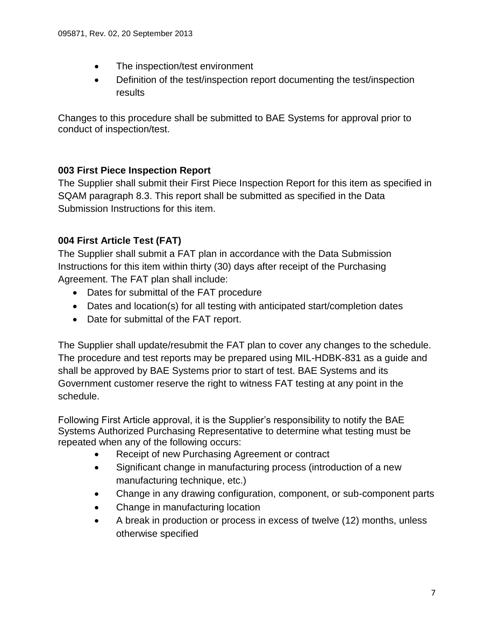- The inspection/test environment
- Definition of the test/inspection report documenting the test/inspection results

Changes to this procedure shall be submitted to BAE Systems for approval prior to conduct of inspection/test.

# <span id="page-6-0"></span>**003 First Piece Inspection Report**

The Supplier shall submit their First Piece Inspection Report for this item as specified in SQAM paragraph 8.3. This report shall be submitted as specified in the Data Submission Instructions for this item.

# <span id="page-6-1"></span>**004 First Article Test (FAT)**

The Supplier shall submit a FAT plan in accordance with the Data Submission Instructions for this item within thirty (30) days after receipt of the Purchasing Agreement. The FAT plan shall include:

- Dates for submittal of the FAT procedure
- Dates and location(s) for all testing with anticipated start/completion dates
- Date for submittal of the FAT report.

The Supplier shall update/resubmit the FAT plan to cover any changes to the schedule. The procedure and test reports may be prepared using MIL-HDBK-831 as a guide and shall be approved by BAE Systems prior to start of test. BAE Systems and its Government customer reserve the right to witness FAT testing at any point in the schedule.

Following First Article approval, it is the Supplier's responsibility to notify the BAE Systems Authorized Purchasing Representative to determine what testing must be repeated when any of the following occurs:

- Receipt of new Purchasing Agreement or contract
- Significant change in manufacturing process (introduction of a new manufacturing technique, etc.)
- Change in any drawing configuration, component, or sub-component parts
- Change in manufacturing location
- <span id="page-6-2"></span> A break in production or process in excess of twelve (12) months, unless otherwise specified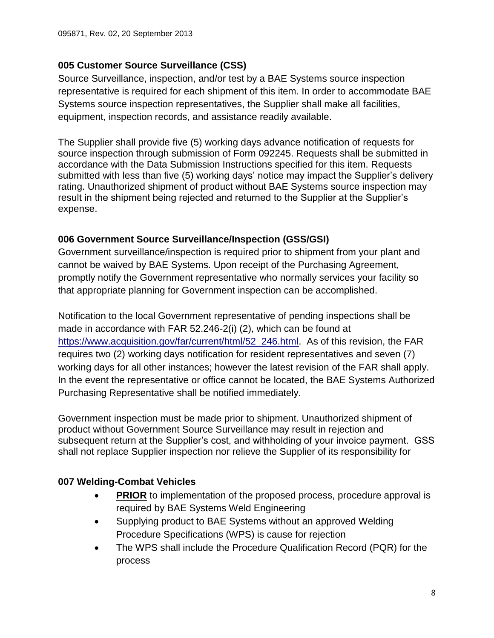# **005 Customer Source Surveillance (CSS)**

Source Surveillance, inspection, and/or test by a BAE Systems source inspection representative is required for each shipment of this item. In order to accommodate BAE Systems source inspection representatives, the Supplier shall make all facilities, equipment, inspection records, and assistance readily available.

The Supplier shall provide five (5) working days advance notification of requests for source inspection through submission of Form 092245. Requests shall be submitted in accordance with the Data Submission Instructions specified for this item. Requests submitted with less than five (5) working days' notice may impact the Supplier's delivery rating. Unauthorized shipment of product without BAE Systems source inspection may result in the shipment being rejected and returned to the Supplier at the Supplier's expense.

# <span id="page-7-0"></span>**006 Government Source Surveillance/Inspection (GSS/GSI)**

Government surveillance/inspection is required prior to shipment from your plant and cannot be waived by BAE Systems. Upon receipt of the Purchasing Agreement, promptly notify the Government representative who normally services your facility so that appropriate planning for Government inspection can be accomplished.

Notification to the local Government representative of pending inspections shall be made in accordance with FAR 52.246-2(i) (2), which can be found at [https://www.acquisition.gov/far/current/html/52\\_246.html.](https://www.acquisition.gov/far/current/html/52_246.html) As of this revision, the FAR requires two (2) working days notification for resident representatives and seven (7) working days for all other instances; however the latest revision of the FAR shall apply. In the event the representative or office cannot be located, the BAE Systems Authorized Purchasing Representative shall be notified immediately.

Government inspection must be made prior to shipment. Unauthorized shipment of product without Government Source Surveillance may result in rejection and subsequent return at the Supplier's cost, and withholding of your invoice payment. GSS shall not replace Supplier inspection nor relieve the Supplier of its responsibility for

# <span id="page-7-1"></span>**007 Welding-Combat Vehicles**

- **PRIOR** to implementation of the proposed process, procedure approval is required by BAE Systems Weld Engineering
- Supplying product to BAE Systems without an approved Welding Procedure Specifications (WPS) is cause for rejection
- The WPS shall include the Procedure Qualification Record (PQR) for the process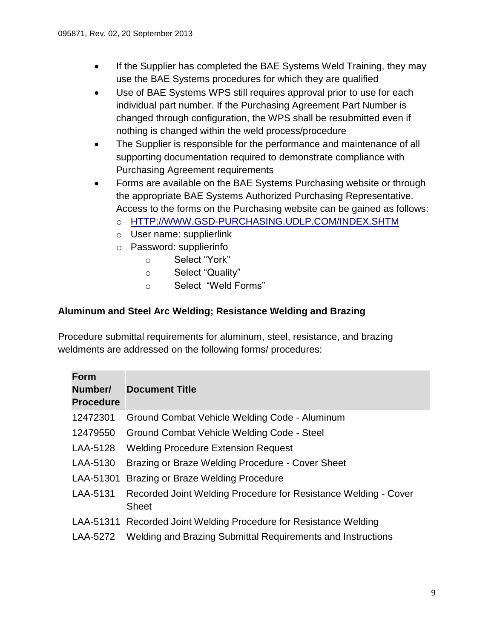- If the Supplier has completed the BAE Systems Weld Training, they may use the BAE Systems procedures for which they are qualified
- Use of BAE Systems WPS still requires approval prior to use for each individual part number. If the Purchasing Agreement Part Number is changed through configuration, the WPS shall be resubmitted even if nothing is changed within the weld process/procedure
- The Supplier is responsible for the performance and maintenance of all supporting documentation required to demonstrate compliance with Purchasing Agreement requirements
- Forms are available on the BAE Systems Purchasing website or through the appropriate BAE Systems Authorized Purchasing Representative. Access to the forms on the Purchasing website can be gained as follows:
	- o [HTTP://WWW.GSD-PURCHASING.UDLP.COM/INDEX.SHTM](http://www.gsd-purchasing.udlp.com/INDEX.SHTM)
	- o User name: supplierlink
	- o Password: supplierinfo
		- o Select "York"
		- o Select "Quality"
		- o Select "Weld Forms"

## **Aluminum and Steel Arc Welding; Resistance Welding and Brazing**

Procedure submittal requirements for aluminum, steel, resistance, and brazing weldments are addressed on the following forms/ procedures:

| <b>Form</b><br>Number/<br><b>Procedure</b> | <b>Document Title</b>                                                           |
|--------------------------------------------|---------------------------------------------------------------------------------|
| 12472301                                   | Ground Combat Vehicle Welding Code - Aluminum                                   |
| 12479550                                   | Ground Combat Vehicle Welding Code - Steel                                      |
| LAA-5128                                   | <b>Welding Procedure Extension Request</b>                                      |
| LAA-5130                                   | Brazing or Braze Welding Procedure - Cover Sheet                                |
| LAA-51301                                  | Brazing or Braze Welding Procedure                                              |
| LAA-5131                                   | Recorded Joint Welding Procedure for Resistance Welding - Cover<br><b>Sheet</b> |
|                                            | LAA-51311 Recorded Joint Welding Procedure for Resistance Welding               |
| LAA-5272                                   | Welding and Brazing Submittal Requirements and Instructions                     |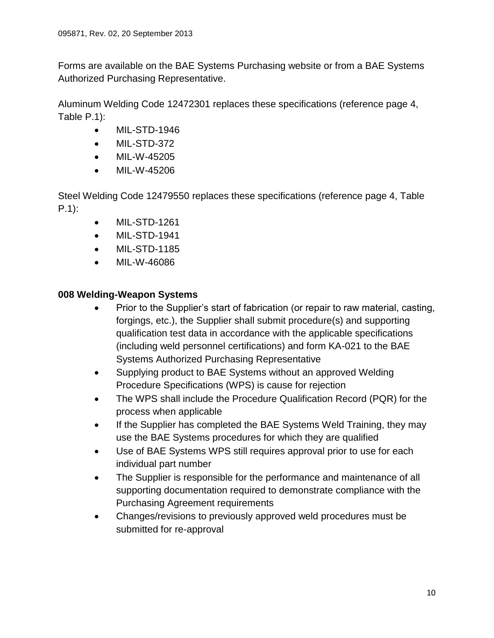Forms are available on the BAE Systems Purchasing website or from a BAE Systems Authorized Purchasing Representative.

Aluminum Welding Code 12472301 replaces these specifications (reference page 4, Table P.1):

- MIL-STD-1946
- MIL-STD-372
- MIL-W-45205
- MIL-W-45206

Steel Welding Code 12479550 replaces these specifications (reference page 4, Table P.1):

- MIL-STD-1261
- MIL-STD-1941
- MIL-STD-1185
- MIL-W-46086

## <span id="page-9-0"></span>**008 Welding-Weapon Systems**

- Prior to the Supplier's start of fabrication (or repair to raw material, casting, forgings, etc.), the Supplier shall submit procedure(s) and supporting qualification test data in accordance with the applicable specifications (including weld personnel certifications) and form KA-021 to the BAE Systems Authorized Purchasing Representative
- Supplying product to BAE Systems without an approved Welding Procedure Specifications (WPS) is cause for rejection
- The WPS shall include the Procedure Qualification Record (PQR) for the process when applicable
- If the Supplier has completed the BAE Systems Weld Training, they may use the BAE Systems procedures for which they are qualified
- Use of BAE Systems WPS still requires approval prior to use for each individual part number
- The Supplier is responsible for the performance and maintenance of all supporting documentation required to demonstrate compliance with the Purchasing Agreement requirements
- <span id="page-9-1"></span> Changes/revisions to previously approved weld procedures must be submitted for re-approval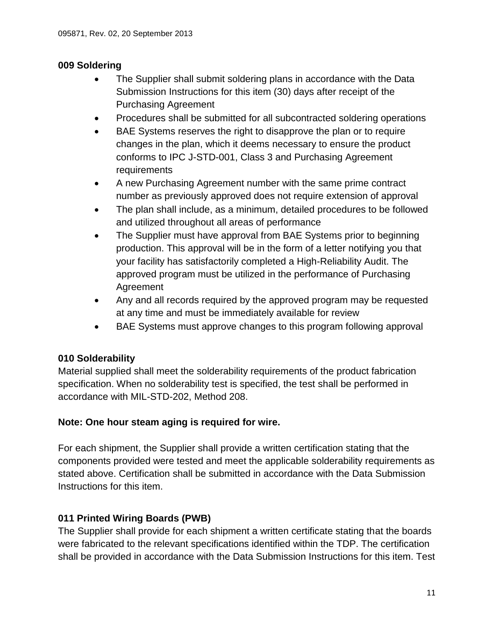# **009 Soldering**

- The Supplier shall submit soldering plans in accordance with the Data Submission Instructions for this item (30) days after receipt of the Purchasing Agreement
- Procedures shall be submitted for all subcontracted soldering operations
- BAE Systems reserves the right to disapprove the plan or to require changes in the plan, which it deems necessary to ensure the product conforms to IPC J-STD-001, Class 3 and Purchasing Agreement requirements
- A new Purchasing Agreement number with the same prime contract number as previously approved does not require extension of approval
- The plan shall include, as a minimum, detailed procedures to be followed and utilized throughout all areas of performance
- The Supplier must have approval from BAE Systems prior to beginning production. This approval will be in the form of a letter notifying you that your facility has satisfactorily completed a High-Reliability Audit. The approved program must be utilized in the performance of Purchasing Agreement
- Any and all records required by the approved program may be requested at any time and must be immediately available for review
- BAE Systems must approve changes to this program following approval

# <span id="page-10-0"></span>**010 Solderability**

Material supplied shall meet the solderability requirements of the product fabrication specification. When no solderability test is specified, the test shall be performed in accordance with MIL-STD-202, Method 208.

# **Note: One hour steam aging is required for wire.**

For each shipment, the Supplier shall provide a written certification stating that the components provided were tested and meet the applicable solderability requirements as stated above. Certification shall be submitted in accordance with the Data Submission Instructions for this item.

# <span id="page-10-1"></span>**011 Printed Wiring Boards (PWB)**

The Supplier shall provide for each shipment a written certificate stating that the boards were fabricated to the relevant specifications identified within the TDP. The certification shall be provided in accordance with the Data Submission Instructions for this item. Test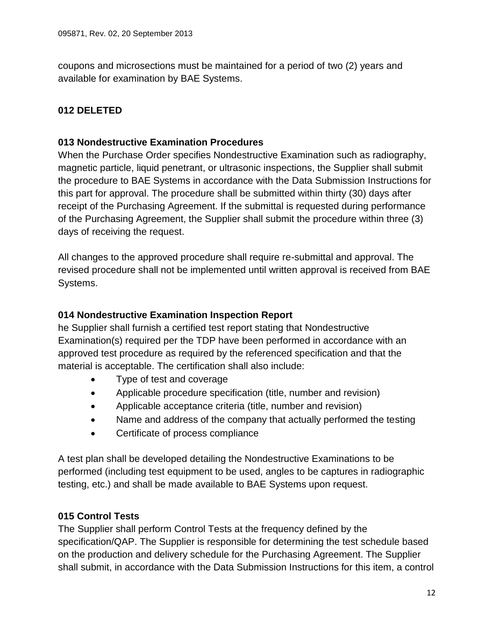coupons and microsections must be maintained for a period of two (2) years and available for examination by BAE Systems.

# <span id="page-11-1"></span><span id="page-11-0"></span>**012 DELETED**

# **013 Nondestructive Examination Procedures**

When the Purchase Order specifies Nondestructive Examination such as radiography, magnetic particle, liquid penetrant, or ultrasonic inspections, the Supplier shall submit the procedure to BAE Systems in accordance with the Data Submission Instructions for this part for approval. The procedure shall be submitted within thirty (30) days after receipt of the Purchasing Agreement. If the submittal is requested during performance of the Purchasing Agreement, the Supplier shall submit the procedure within three (3) days of receiving the request.

All changes to the approved procedure shall require re-submittal and approval. The revised procedure shall not be implemented until written approval is received from BAE Systems.

## <span id="page-11-2"></span>**014 Nondestructive Examination Inspection Report**

he Supplier shall furnish a certified test report stating that Nondestructive Examination(s) required per the TDP have been performed in accordance with an approved test procedure as required by the referenced specification and that the material is acceptable. The certification shall also include:

- Type of test and coverage
- Applicable procedure specification (title, number and revision)
- Applicable acceptance criteria (title, number and revision)
- Name and address of the company that actually performed the testing
- Certificate of process compliance

A test plan shall be developed detailing the Nondestructive Examinations to be performed (including test equipment to be used, angles to be captures in radiographic testing, etc.) and shall be made available to BAE Systems upon request.

# <span id="page-11-3"></span>**015 Control Tests**

The Supplier shall perform Control Tests at the frequency defined by the specification/QAP. The Supplier is responsible for determining the test schedule based on the production and delivery schedule for the Purchasing Agreement. The Supplier shall submit, in accordance with the Data Submission Instructions for this item, a control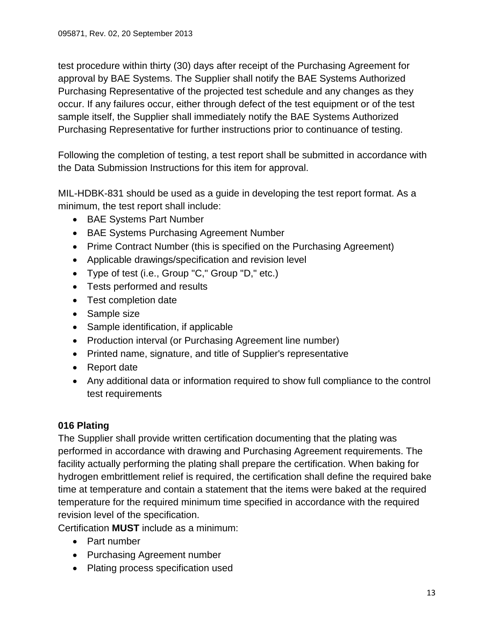test procedure within thirty (30) days after receipt of the Purchasing Agreement for approval by BAE Systems. The Supplier shall notify the BAE Systems Authorized Purchasing Representative of the projected test schedule and any changes as they occur. If any failures occur, either through defect of the test equipment or of the test sample itself, the Supplier shall immediately notify the BAE Systems Authorized Purchasing Representative for further instructions prior to continuance of testing.

Following the completion of testing, a test report shall be submitted in accordance with the Data Submission Instructions for this item for approval.

MIL-HDBK-831 should be used as a guide in developing the test report format. As a minimum, the test report shall include:

- BAE Systems Part Number
- BAE Systems Purchasing Agreement Number
- Prime Contract Number (this is specified on the Purchasing Agreement)
- Applicable drawings/specification and revision level
- Type of test (i.e., Group "C," Group "D," etc.)
- Tests performed and results
- Test completion date
- Sample size
- Sample identification, if applicable
- Production interval (or Purchasing Agreement line number)
- Printed name, signature, and title of Supplier's representative
- Report date
- Any additional data or information required to show full compliance to the control test requirements

# <span id="page-12-0"></span>**016 Plating**

The Supplier shall provide written certification documenting that the plating was performed in accordance with drawing and Purchasing Agreement requirements. The facility actually performing the plating shall prepare the certification. When baking for hydrogen embrittlement relief is required, the certification shall define the required bake time at temperature and contain a statement that the items were baked at the required temperature for the required minimum time specified in accordance with the required revision level of the specification.

Certification **MUST** include as a minimum:

- Part number
- Purchasing Agreement number
- Plating process specification used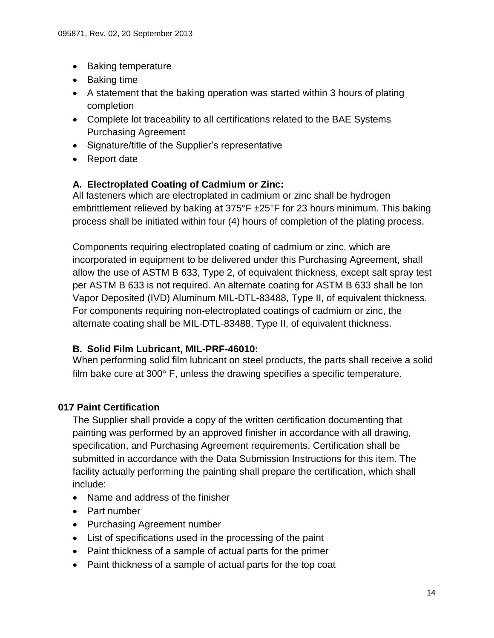- Baking temperature
- Baking time
- A statement that the baking operation was started within 3 hours of plating completion
- Complete lot traceability to all certifications related to the BAE Systems Purchasing Agreement
- Signature/title of the Supplier's representative
- Report date

## <span id="page-13-0"></span>**A. Electroplated Coating of Cadmium or Zinc:**

All fasteners which are electroplated in cadmium or zinc shall be hydrogen embrittlement relieved by baking at 375°F ±25°F for 23 hours minimum. This baking process shall be initiated within four (4) hours of completion of the plating process.

Components requiring electroplated coating of cadmium or zinc, which are incorporated in equipment to be delivered under this Purchasing Agreement, shall allow the use of ASTM B 633, Type 2, of equivalent thickness, except salt spray test per ASTM B 633 is not required. An alternate coating for ASTM B 633 shall be Ion Vapor Deposited (IVD) Aluminum MIL-DTL-83488, Type II, of equivalent thickness. For components requiring non-electroplated coatings of cadmium or zinc, the alternate coating shall be MIL-DTL-83488, Type II, of equivalent thickness.

#### <span id="page-13-1"></span>**B. Solid Film Lubricant, MIL-PRF-46010:**

When performing solid film lubricant on steel products, the parts shall receive a solid film bake cure at  $300^\circ$  F, unless the drawing specifies a specific temperature.

# <span id="page-13-2"></span>**017 Paint Certification**

The Supplier shall provide a copy of the written certification documenting that painting was performed by an approved finisher in accordance with all drawing, specification, and Purchasing Agreement requirements. Certification shall be submitted in accordance with the Data Submission Instructions for this item. The facility actually performing the painting shall prepare the certification, which shall include:

- Name and address of the finisher
- Part number
- Purchasing Agreement number
- List of specifications used in the processing of the paint
- Paint thickness of a sample of actual parts for the primer
- Paint thickness of a sample of actual parts for the top coat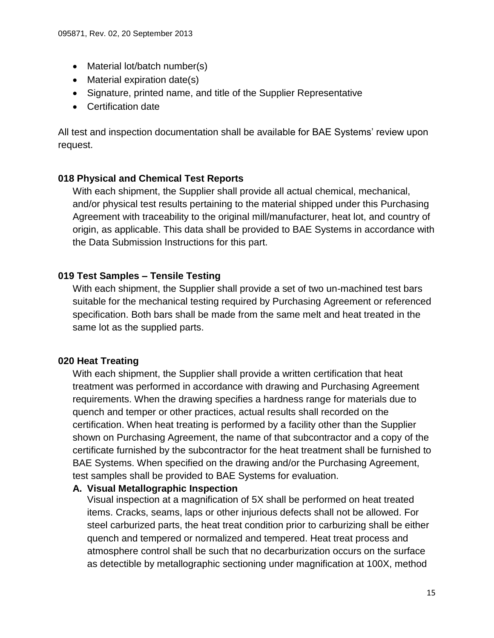- Material lot/batch number(s)
- Material expiration date(s)
- Signature, printed name, and title of the Supplier Representative
- Certification date

All test and inspection documentation shall be available for BAE Systems' review upon request.

# <span id="page-14-0"></span>**018 Physical and Chemical Test Reports**

With each shipment, the Supplier shall provide all actual chemical, mechanical, and/or physical test results pertaining to the material shipped under this Purchasing Agreement with traceability to the original mill/manufacturer, heat lot, and country of origin, as applicable. This data shall be provided to BAE Systems in accordance with the Data Submission Instructions for this part.

# <span id="page-14-1"></span>**019 Test Samples – Tensile Testing**

With each shipment, the Supplier shall provide a set of two un-machined test bars suitable for the mechanical testing required by Purchasing Agreement or referenced specification. Both bars shall be made from the same melt and heat treated in the same lot as the supplied parts.

# <span id="page-14-2"></span>**020 Heat Treating**

With each shipment, the Supplier shall provide a written certification that heat treatment was performed in accordance with drawing and Purchasing Agreement requirements. When the drawing specifies a hardness range for materials due to quench and temper or other practices, actual results shall recorded on the certification. When heat treating is performed by a facility other than the Supplier shown on Purchasing Agreement, the name of that subcontractor and a copy of the certificate furnished by the subcontractor for the heat treatment shall be furnished to BAE Systems. When specified on the drawing and/or the Purchasing Agreement, test samples shall be provided to BAE Systems for evaluation.

# <span id="page-14-3"></span>**A. Visual Metallographic Inspection**

Visual inspection at a magnification of 5X shall be performed on heat treated items. Cracks, seams, laps or other injurious defects shall not be allowed. For steel carburized parts, the heat treat condition prior to carburizing shall be either quench and tempered or normalized and tempered. Heat treat process and atmosphere control shall be such that no decarburization occurs on the surface as detectible by metallographic sectioning under magnification at 100X, method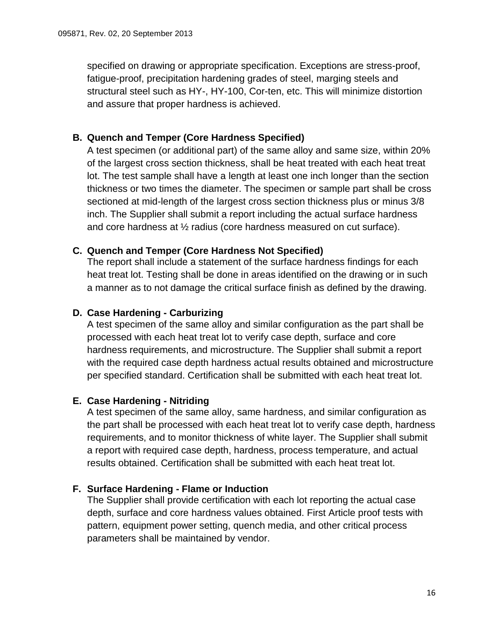specified on drawing or appropriate specification. Exceptions are stress-proof, fatigue-proof, precipitation hardening grades of steel, marging steels and structural steel such as HY-, HY-100, Cor-ten, etc. This will minimize distortion and assure that proper hardness is achieved.

## <span id="page-15-0"></span>**B. Quench and Temper (Core Hardness Specified)**

A test specimen (or additional part) of the same alloy and same size, within 20% of the largest cross section thickness, shall be heat treated with each heat treat lot. The test sample shall have a length at least one inch longer than the section thickness or two times the diameter. The specimen or sample part shall be cross sectioned at mid-length of the largest cross section thickness plus or minus 3/8 inch. The Supplier shall submit a report including the actual surface hardness and core hardness at ½ radius (core hardness measured on cut surface).

#### <span id="page-15-1"></span>**C. Quench and Temper (Core Hardness Not Specified)**

The report shall include a statement of the surface hardness findings for each heat treat lot. Testing shall be done in areas identified on the drawing or in such a manner as to not damage the critical surface finish as defined by the drawing.

#### <span id="page-15-2"></span>**D. Case Hardening - Carburizing**

A test specimen of the same alloy and similar configuration as the part shall be processed with each heat treat lot to verify case depth, surface and core hardness requirements, and microstructure. The Supplier shall submit a report with the required case depth hardness actual results obtained and microstructure per specified standard. Certification shall be submitted with each heat treat lot.

#### <span id="page-15-3"></span>**E. Case Hardening - Nitriding**

A test specimen of the same alloy, same hardness, and similar configuration as the part shall be processed with each heat treat lot to verify case depth, hardness requirements, and to monitor thickness of white layer. The Supplier shall submit a report with required case depth, hardness, process temperature, and actual results obtained. Certification shall be submitted with each heat treat lot.

#### <span id="page-15-4"></span>**F. Surface Hardening - Flame or Induction**

The Supplier shall provide certification with each lot reporting the actual case depth, surface and core hardness values obtained. First Article proof tests with pattern, equipment power setting, quench media, and other critical process parameters shall be maintained by vendor.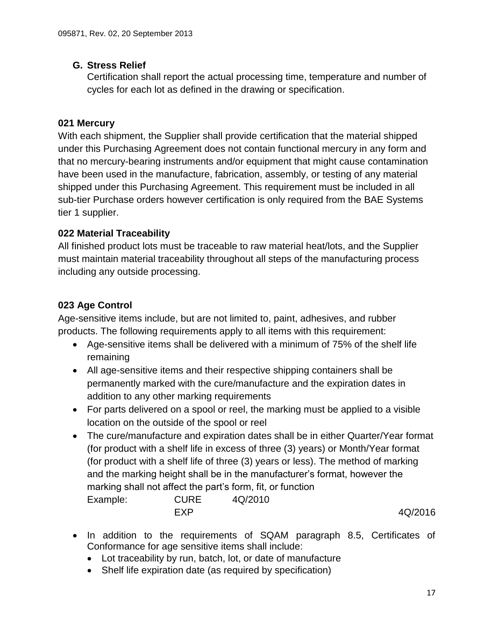# <span id="page-16-0"></span>**G. Stress Relief**

Certification shall report the actual processing time, temperature and number of cycles for each lot as defined in the drawing or specification.

# <span id="page-16-1"></span>**021 Mercury**

With each shipment, the Supplier shall provide certification that the material shipped under this Purchasing Agreement does not contain functional mercury in any form and that no mercury-bearing instruments and/or equipment that might cause contamination have been used in the manufacture, fabrication, assembly, or testing of any material shipped under this Purchasing Agreement. This requirement must be included in all sub-tier Purchase orders however certification is only required from the BAE Systems tier 1 supplier.

# <span id="page-16-2"></span>**022 Material Traceability**

All finished product lots must be traceable to raw material heat/lots, and the Supplier must maintain material traceability throughout all steps of the manufacturing process including any outside processing.

# <span id="page-16-3"></span>**023 Age Control**

Age-sensitive items include, but are not limited to, paint, adhesives, and rubber products. The following requirements apply to all items with this requirement:

- Age-sensitive items shall be delivered with a minimum of 75% of the shelf life remaining
- All age-sensitive items and their respective shipping containers shall be permanently marked with the cure/manufacture and the expiration dates in addition to any other marking requirements
- For parts delivered on a spool or reel, the marking must be applied to a visible location on the outside of the spool or reel
- The cure/manufacture and expiration dates shall be in either Quarter/Year format (for product with a shelf life in excess of three (3) years) or Month/Year format (for product with a shelf life of three (3) years or less). The method of marking and the marking height shall be in the manufacturer's format, however the marking shall not affect the part's form, fit, or function Example: CURE 4Q/2010 EXP 4Q/2016
- In addition to the requirements of SQAM paragraph 8.5, Certificates of Conformance for age sensitive items shall include:
	- Lot traceability by run, batch, lot, or date of manufacture
	- Shelf life expiration date (as required by specification)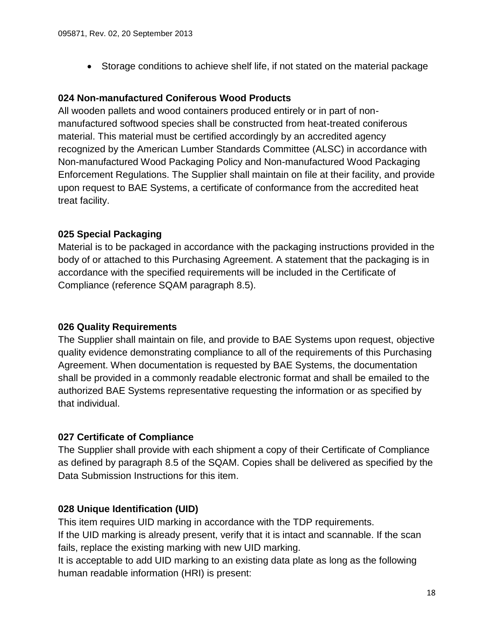Storage conditions to achieve shelf life, if not stated on the material package

#### <span id="page-17-0"></span>**024 Non-manufactured Coniferous Wood Products**

All wooden pallets and wood containers produced entirely or in part of nonmanufactured softwood species shall be constructed from heat-treated coniferous material. This material must be certified accordingly by an accredited agency recognized by the American Lumber Standards Committee (ALSC) in accordance with Non-manufactured Wood Packaging Policy and Non-manufactured Wood Packaging Enforcement Regulations. The Supplier shall maintain on file at their facility, and provide upon request to BAE Systems, a certificate of conformance from the accredited heat treat facility.

#### <span id="page-17-1"></span>**025 Special Packaging**

Material is to be packaged in accordance with the packaging instructions provided in the body of or attached to this Purchasing Agreement. A statement that the packaging is in accordance with the specified requirements will be included in the Certificate of Compliance (reference SQAM paragraph 8.5).

#### <span id="page-17-2"></span>**026 Quality Requirements**

The Supplier shall maintain on file, and provide to BAE Systems upon request, objective quality evidence demonstrating compliance to all of the requirements of this Purchasing Agreement. When documentation is requested by BAE Systems, the documentation shall be provided in a commonly readable electronic format and shall be emailed to the authorized BAE Systems representative requesting the information or as specified by that individual.

#### <span id="page-17-3"></span>**027 Certificate of Compliance**

The Supplier shall provide with each shipment a copy of their Certificate of Compliance as defined by paragraph 8.5 of the SQAM. Copies shall be delivered as specified by the Data Submission Instructions for this item.

#### <span id="page-17-4"></span>**028 Unique Identification (UID)**

This item requires UID marking in accordance with the TDP requirements. If the UID marking is already present, verify that it is intact and scannable. If the scan fails, replace the existing marking with new UID marking.

It is acceptable to add UID marking to an existing data plate as long as the following human readable information (HRI) is present: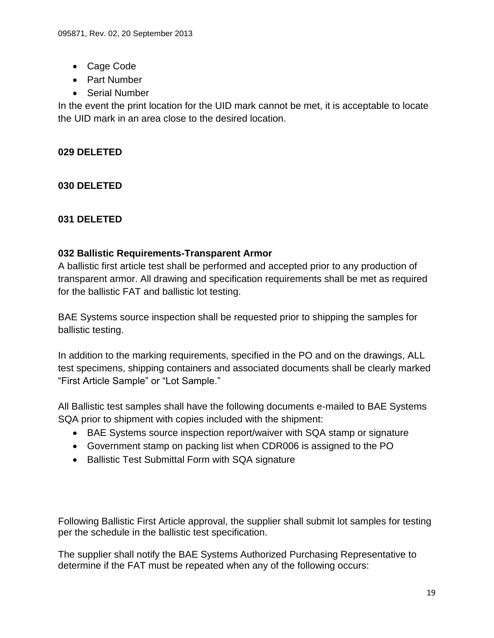- Cage Code
- Part Number
- Serial Number

In the event the print location for the UID mark cannot be met, it is acceptable to locate the UID mark in an area close to the desired location.

## <span id="page-18-1"></span><span id="page-18-0"></span>**029 DELETED**

<span id="page-18-2"></span>**030 DELETED**

## <span id="page-18-3"></span>**031 DELETED**

#### **032 Ballistic Requirements-Transparent Armor**

A ballistic first article test shall be performed and accepted prior to any production of transparent armor. All drawing and specification requirements shall be met as required for the ballistic FAT and ballistic lot testing.

BAE Systems source inspection shall be requested prior to shipping the samples for ballistic testing.

In addition to the marking requirements, specified in the PO and on the drawings, ALL test specimens, shipping containers and associated documents shall be clearly marked "First Article Sample" or "Lot Sample."

All Ballistic test samples shall have the following documents e-mailed to BAE Systems SQA prior to shipment with copies included with the shipment:

- BAE Systems source inspection report/waiver with SQA stamp or signature
- Government stamp on packing list when CDR006 is assigned to the PO
- Ballistic Test Submittal Form with SQA signature

Following Ballistic First Article approval, the supplier shall submit lot samples for testing per the schedule in the ballistic test specification.

The supplier shall notify the BAE Systems Authorized Purchasing Representative to determine if the FAT must be repeated when any of the following occurs: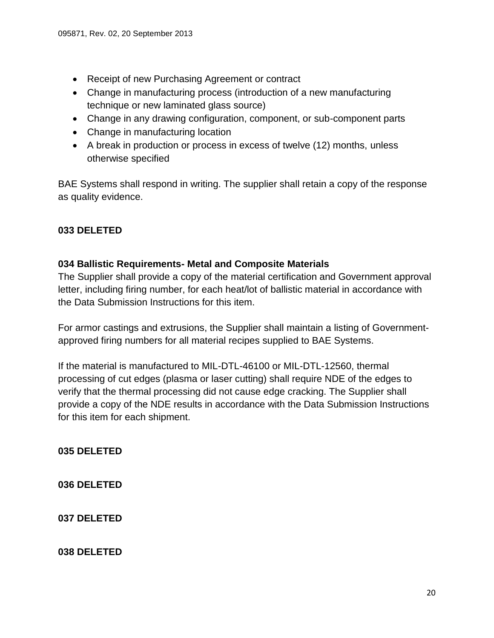- Receipt of new Purchasing Agreement or contract
- Change in manufacturing process (introduction of a new manufacturing technique or new laminated glass source)
- Change in any drawing configuration, component, or sub-component parts
- Change in manufacturing location
- A break in production or process in excess of twelve (12) months, unless otherwise specified

BAE Systems shall respond in writing. The supplier shall retain a copy of the response as quality evidence.

## <span id="page-19-1"></span><span id="page-19-0"></span>**033 DELETED**

#### **034 Ballistic Requirements- Metal and Composite Materials**

The Supplier shall provide a copy of the material certification and Government approval letter, including firing number, for each heat/lot of ballistic material in accordance with the Data Submission Instructions for this item.

For armor castings and extrusions, the Supplier shall maintain a listing of Governmentapproved firing numbers for all material recipes supplied to BAE Systems.

If the material is manufactured to MIL-DTL-46100 or MIL-DTL-12560, thermal processing of cut edges (plasma or laser cutting) shall require NDE of the edges to verify that the thermal processing did not cause edge cracking. The Supplier shall provide a copy of the NDE results in accordance with the Data Submission Instructions for this item for each shipment.

<span id="page-19-2"></span>**035 DELETED**

<span id="page-19-3"></span>**036 DELETED**

<span id="page-19-4"></span>**037 DELETED**

<span id="page-19-5"></span>**038 DELETED**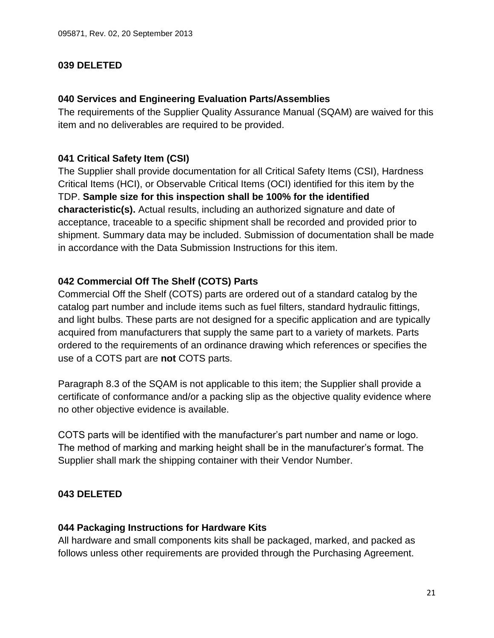#### <span id="page-20-0"></span>**039 DELETED**

#### <span id="page-20-1"></span>**040 Services and Engineering Evaluation Parts/Assemblies**

The requirements of the Supplier Quality Assurance Manual (SQAM) are waived for this item and no deliverables are required to be provided.

#### <span id="page-20-2"></span>**041 Critical Safety Item (CSI)**

The Supplier shall provide documentation for all Critical Safety Items (CSI), Hardness Critical Items (HCI), or Observable Critical Items (OCI) identified for this item by the TDP. **Sample size for this inspection shall be 100% for the identified characteristic(s).** Actual results, including an authorized signature and date of acceptance, traceable to a specific shipment shall be recorded and provided prior to shipment. Summary data may be included. Submission of documentation shall be made in accordance with the Data Submission Instructions for this item.

#### <span id="page-20-3"></span>**042 Commercial Off The Shelf (COTS) Parts**

Commercial Off the Shelf (COTS) parts are ordered out of a standard catalog by the catalog part number and include items such as fuel filters, standard hydraulic fittings, and light bulbs. These parts are not designed for a specific application and are typically acquired from manufacturers that supply the same part to a variety of markets. Parts ordered to the requirements of an ordinance drawing which references or specifies the use of a COTS part are **not** COTS parts.

Paragraph 8.3 of the SQAM is not applicable to this item; the Supplier shall provide a certificate of conformance and/or a packing slip as the objective quality evidence where no other objective evidence is available.

COTS parts will be identified with the manufacturer's part number and name or logo. The method of marking and marking height shall be in the manufacturer's format. The Supplier shall mark the shipping container with their Vendor Number.

#### <span id="page-20-5"></span><span id="page-20-4"></span>**043 DELETED**

#### **044 Packaging Instructions for Hardware Kits**

All hardware and small components kits shall be packaged, marked, and packed as follows unless other requirements are provided through the Purchasing Agreement.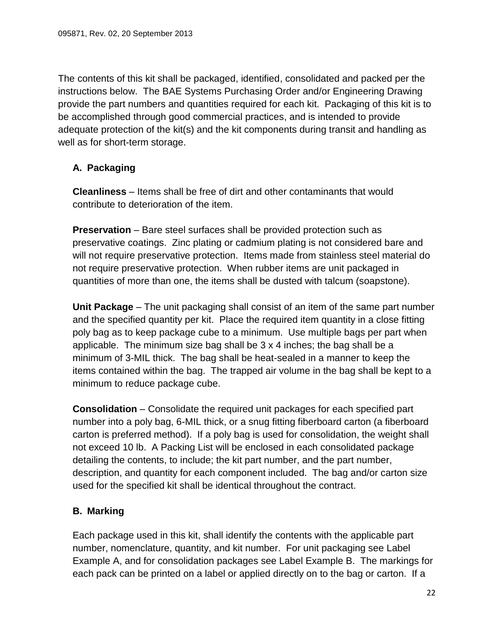The contents of this kit shall be packaged, identified, consolidated and packed per the instructions below. The BAE Systems Purchasing Order and/or Engineering Drawing provide the part numbers and quantities required for each kit. Packaging of this kit is to be accomplished through good commercial practices, and is intended to provide adequate protection of the kit(s) and the kit components during transit and handling as well as for short-term storage.

# <span id="page-21-0"></span>**A. Packaging**

**Cleanliness** – Items shall be free of dirt and other contaminants that would contribute to deterioration of the item.

**Preservation** – Bare steel surfaces shall be provided protection such as preservative coatings. Zinc plating or cadmium plating is not considered bare and will not require preservative protection. Items made from stainless steel material do not require preservative protection. When rubber items are unit packaged in quantities of more than one, the items shall be dusted with talcum (soapstone).

**Unit Package** – The unit packaging shall consist of an item of the same part number and the specified quantity per kit. Place the required item quantity in a close fitting poly bag as to keep package cube to a minimum. Use multiple bags per part when applicable. The minimum size bag shall be 3 x 4 inches; the bag shall be a minimum of 3-MIL thick. The bag shall be heat-sealed in a manner to keep the items contained within the bag. The trapped air volume in the bag shall be kept to a minimum to reduce package cube.

**Consolidation** – Consolidate the required unit packages for each specified part number into a poly bag, 6-MIL thick, or a snug fitting fiberboard carton (a fiberboard carton is preferred method). If a poly bag is used for consolidation, the weight shall not exceed 10 lb. A Packing List will be enclosed in each consolidated package detailing the contents, to include; the kit part number, and the part number, description, and quantity for each component included. The bag and/or carton size used for the specified kit shall be identical throughout the contract.

# <span id="page-21-1"></span>**B. Marking**

Each package used in this kit, shall identify the contents with the applicable part number, nomenclature, quantity, and kit number. For unit packaging see Label Example A, and for consolidation packages see Label Example B. The markings for each pack can be printed on a label or applied directly on to the bag or carton. If a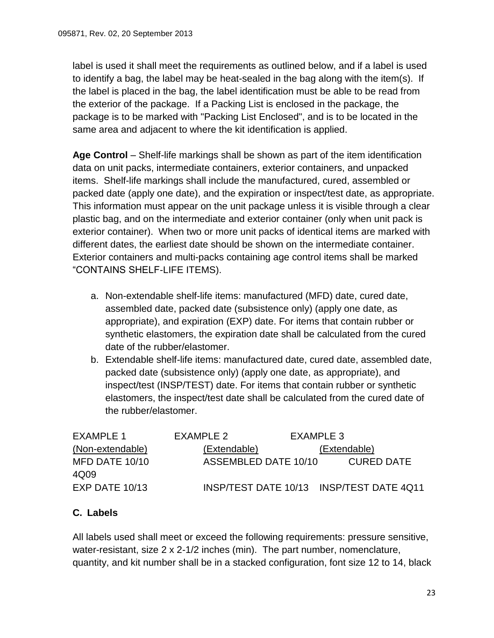label is used it shall meet the requirements as outlined below, and if a label is used to identify a bag, the label may be heat-sealed in the bag along with the item(s). If the label is placed in the bag, the label identification must be able to be read from the exterior of the package. If a Packing List is enclosed in the package, the package is to be marked with "Packing List Enclosed", and is to be located in the same area and adjacent to where the kit identification is applied.

**Age Control** – Shelf-life markings shall be shown as part of the item identification data on unit packs, intermediate containers, exterior containers, and unpacked items. Shelf-life markings shall include the manufactured, cured, assembled or packed date (apply one date), and the expiration or inspect/test date, as appropriate. This information must appear on the unit package unless it is visible through a clear plastic bag, and on the intermediate and exterior container (only when unit pack is exterior container). When two or more unit packs of identical items are marked with different dates, the earliest date should be shown on the intermediate container. Exterior containers and multi-packs containing age control items shall be marked "CONTAINS SHELF-LIFE ITEMS).

- a. Non-extendable shelf-life items: manufactured (MFD) date, cured date, assembled date, packed date (subsistence only) (apply one date, as appropriate), and expiration (EXP) date. For items that contain rubber or synthetic elastomers, the expiration date shall be calculated from the cured date of the rubber/elastomer.
- b. Extendable shelf-life items: manufactured date, cured date, assembled date, packed date (subsistence only) (apply one date, as appropriate), and inspect/test (INSP/TEST) date. For items that contain rubber or synthetic elastomers, the inspect/test date shall be calculated from the cured date of the rubber/elastomer.

| EXAMPLE 1              | FXAMPLE 2            | EXAMPLE 3 |                                          |
|------------------------|----------------------|-----------|------------------------------------------|
| (Non-extendable)       | (Extendable)         |           | (Extendable)                             |
| MFD DATE 10/10<br>4Q09 | ASSEMBLED DATE 10/10 |           | <b>CURED DATE</b>                        |
| EXP DATE 10/13         |                      |           | INSP/TEST DATE 10/13 INSP/TEST DATE 4Q11 |

# <span id="page-22-0"></span>**C. Labels**

All labels used shall meet or exceed the following requirements: pressure sensitive, water-resistant, size 2 x 2-1/2 inches (min). The part number, nomenclature, quantity, and kit number shall be in a stacked configuration, font size 12 to 14, black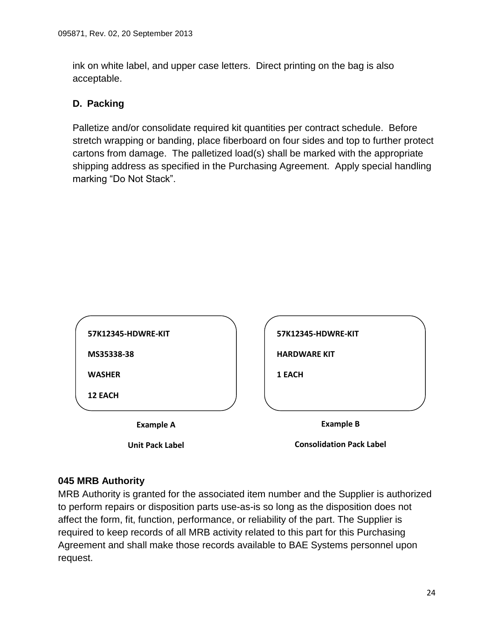ink on white label, and upper case letters. Direct printing on the bag is also acceptable.

## <span id="page-23-0"></span>**D. Packing**

Palletize and/or consolidate required kit quantities per contract schedule. Before stretch wrapping or banding, place fiberboard on four sides and top to further protect cartons from damage. The palletized load(s) shall be marked with the appropriate shipping address as specified in the Purchasing Agreement. Apply special handling marking "Do Not Stack".

| 57K12345-HDWRE-KIT | 57K12345-HDWRE-KIT  |
|--------------------|---------------------|
| MS35338-38         | <b>HARDWARE KIT</b> |
| <b>WASHER</b>      | 1 EACH              |
| <b>12 EACH</b>     |                     |

**Consolidation Pack Label**

#### <span id="page-23-1"></span>**045 MRB Authority**

**Unit Pack Label**

MRB Authority is granted for the associated item number and the Supplier is authorized to perform repairs or disposition parts use-as-is so long as the disposition does not affect the form, fit, function, performance, or reliability of the part. The Supplier is required to keep records of all MRB activity related to this part for this Purchasing Agreement and shall make those records available to BAE Systems personnel upon request.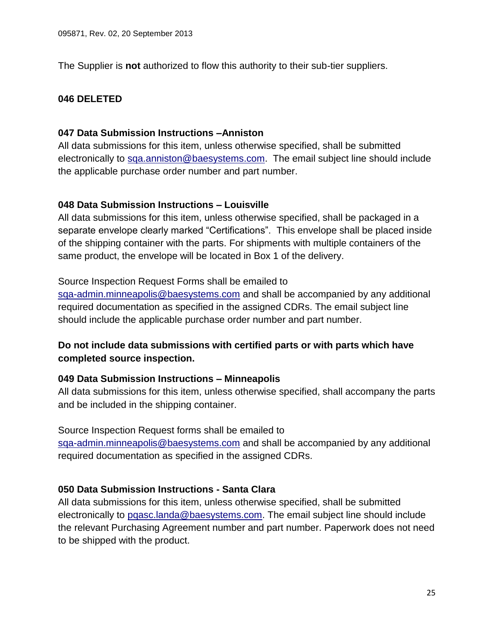<span id="page-24-0"></span>The Supplier is **not** authorized to flow this authority to their sub-tier suppliers.

#### <span id="page-24-1"></span>**046 DELETED**

#### **047 Data Submission Instructions –Anniston**

All data submissions for this item, unless otherwise specified, shall be submitted electronically to [sqa.anniston@baesystems.com.](mailto:sqa.anniston@baesystems.com) The email subject line should include the applicable purchase order number and part number.

#### <span id="page-24-2"></span>**048 Data Submission Instructions – Louisville**

All data submissions for this item, unless otherwise specified, shall be packaged in a separate envelope clearly marked "Certifications". This envelope shall be placed inside of the shipping container with the parts. For shipments with multiple containers of the same product, the envelope will be located in Box 1 of the delivery.

#### Source Inspection Request Forms shall be emailed to

[sqa-admin.minneapolis@baesystems.com](mailto:sqa-admin.minneapolis@baesystems.com) and shall be accompanied by any additional required documentation as specified in the assigned CDRs. The email subject line should include the applicable purchase order number and part number.

# **Do not include data submissions with certified parts or with parts which have completed source inspection.**

#### <span id="page-24-3"></span>**049 Data Submission Instructions – Minneapolis**

All data submissions for this item, unless otherwise specified, shall accompany the parts and be included in the shipping container.

#### Source Inspection Request forms shall be emailed to

[sqa-admin.minneapolis@baesystems.com](mailto:sqa-admin.minneapolis@baesystems.com) and shall be accompanied by any additional required documentation as specified in the assigned CDRs.

#### <span id="page-24-4"></span>**050 Data Submission Instructions - Santa Clara**

<span id="page-24-5"></span>All data submissions for this item, unless otherwise specified, shall be submitted electronically to [pqasc.landa@baesystems.com.](mailto:pqasc.landa@baesystems.com) The email subject line should include the relevant Purchasing Agreement number and part number. Paperwork does not need to be shipped with the product.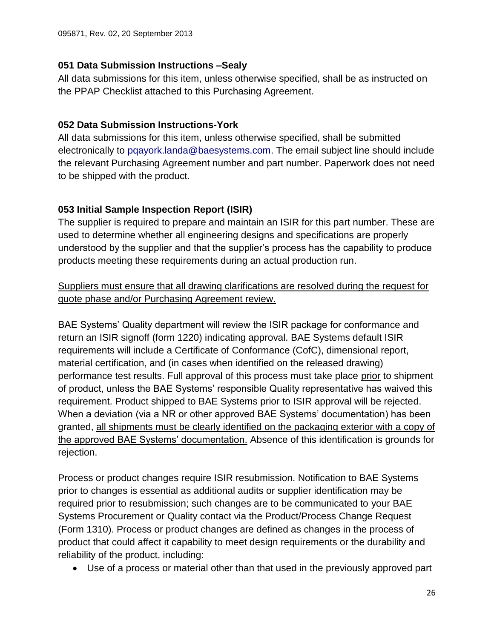## **051 Data Submission Instructions –Sealy**

All data submissions for this item, unless otherwise specified, shall be as instructed on the PPAP Checklist attached to this Purchasing Agreement.

## <span id="page-25-0"></span>**052 Data Submission Instructions-York**

All data submissions for this item, unless otherwise specified, shall be submitted electronically to [pqayork.landa@baesystems.com.](mailto:pqayork.landa@baesystems.com) The email subject line should include the relevant Purchasing Agreement number and part number. Paperwork does not need to be shipped with the product.

# <span id="page-25-1"></span>**053 Initial Sample Inspection Report (ISIR)**

The supplier is required to prepare and maintain an ISIR for this part number. These are used to determine whether all engineering designs and specifications are properly understood by the supplier and that the supplier's process has the capability to produce products meeting these requirements during an actual production run.

# Suppliers must ensure that all drawing clarifications are resolved during the request for quote phase and/or Purchasing Agreement review.

BAE Systems' Quality department will review the ISIR package for conformance and return an ISIR signoff (form 1220) indicating approval. BAE Systems default ISIR requirements will include a Certificate of Conformance (CofC), dimensional report, material certification, and (in cases when identified on the released drawing) performance test results. Full approval of this process must take place prior to shipment of product, unless the BAE Systems' responsible Quality representative has waived this requirement. Product shipped to BAE Systems prior to ISIR approval will be rejected. When a deviation (via a NR or other approved BAE Systems' documentation) has been granted, all shipments must be clearly identified on the packaging exterior with a copy of the approved BAE Systems' documentation. Absence of this identification is grounds for rejection.

Process or product changes require ISIR resubmission. Notification to BAE Systems prior to changes is essential as additional audits or supplier identification may be required prior to resubmission; such changes are to be communicated to your BAE Systems Procurement or Quality contact via the Product/Process Change Request (Form 1310). Process or product changes are defined as changes in the process of product that could affect it capability to meet design requirements or the durability and reliability of the product, including:

Use of a process or material other than that used in the previously approved part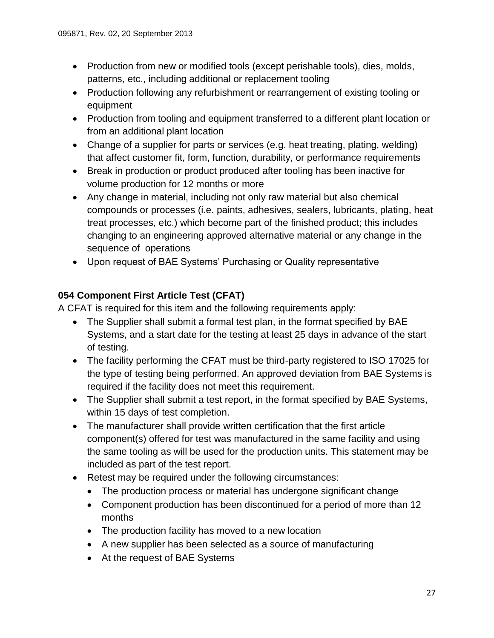- Production from new or modified tools (except perishable tools), dies, molds, patterns, etc., including additional or replacement tooling
- Production following any refurbishment or rearrangement of existing tooling or equipment
- Production from tooling and equipment transferred to a different plant location or from an additional plant location
- Change of a supplier for parts or services (e.g. heat treating, plating, welding) that affect customer fit, form, function, durability, or performance requirements
- Break in production or product produced after tooling has been inactive for volume production for 12 months or more
- Any change in material, including not only raw material but also chemical compounds or processes (i.e. paints, adhesives, sealers, lubricants, plating, heat treat processes, etc.) which become part of the finished product; this includes changing to an engineering approved alternative material or any change in the sequence of operations
- Upon request of BAE Systems' Purchasing or Quality representative

# <span id="page-26-0"></span>**054 Component First Article Test (CFAT)**

A CFAT is required for this item and the following requirements apply:

- The Supplier shall submit a formal test plan, in the format specified by BAE Systems, and a start date for the testing at least 25 days in advance of the start of testing.
- The facility performing the CFAT must be third-party registered to ISO 17025 for the type of testing being performed. An approved deviation from BAE Systems is required if the facility does not meet this requirement.
- The Supplier shall submit a test report, in the format specified by BAE Systems, within 15 days of test completion.
- The manufacturer shall provide written certification that the first article component(s) offered for test was manufactured in the same facility and using the same tooling as will be used for the production units. This statement may be included as part of the test report.
- Retest may be required under the following circumstances:
	- The production process or material has undergone significant change
	- Component production has been discontinued for a period of more than 12 months
	- The production facility has moved to a new location
	- A new supplier has been selected as a source of manufacturing
	- At the request of BAE Systems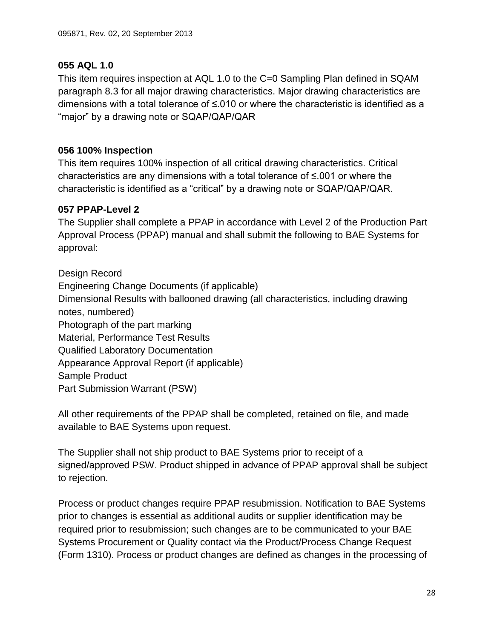# <span id="page-27-0"></span>**055 AQL 1.0**

This item requires inspection at AQL 1.0 to the C=0 Sampling Plan defined in SQAM paragraph 8.3 for all major drawing characteristics. Major drawing characteristics are dimensions with a total tolerance of ≤.010 or where the characteristic is identified as a "major" by a drawing note or SQAP/QAP/QAR

# <span id="page-27-1"></span>**056 100% Inspection**

This item requires 100% inspection of all critical drawing characteristics. Critical characteristics are any dimensions with a total tolerance of ≤.001 or where the characteristic is identified as a "critical" by a drawing note or SQAP/QAP/QAR.

# <span id="page-27-2"></span>**057 PPAP-Level 2**

The Supplier shall complete a PPAP in accordance with Level 2 of the Production Part Approval Process (PPAP) manual and shall submit the following to BAE Systems for approval:

Design Record Engineering Change Documents (if applicable) Dimensional Results with ballooned drawing (all characteristics, including drawing notes, numbered) Photograph of the part marking Material, Performance Test Results Qualified Laboratory Documentation Appearance Approval Report (if applicable) Sample Product Part Submission Warrant (PSW)

All other requirements of the PPAP shall be completed, retained on file, and made available to BAE Systems upon request.

The Supplier shall not ship product to BAE Systems prior to receipt of a signed/approved PSW. Product shipped in advance of PPAP approval shall be subject to rejection.

Process or product changes require PPAP resubmission. Notification to BAE Systems prior to changes is essential as additional audits or supplier identification may be required prior to resubmission; such changes are to be communicated to your BAE Systems Procurement or Quality contact via the Product/Process Change Request (Form 1310). Process or product changes are defined as changes in the processing of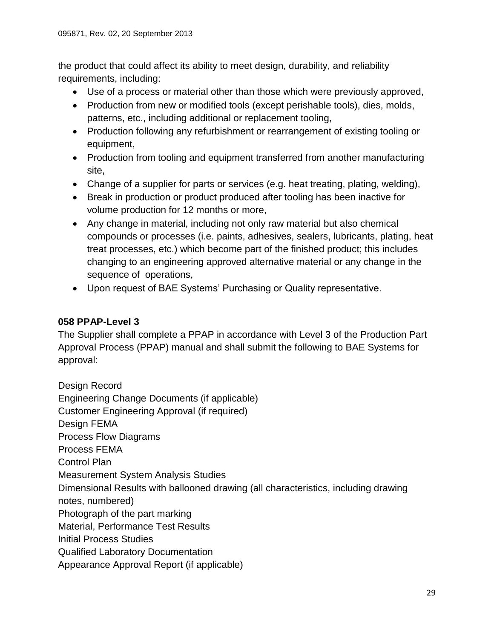the product that could affect its ability to meet design, durability, and reliability requirements, including:

- Use of a process or material other than those which were previously approved,
- Production from new or modified tools (except perishable tools), dies, molds, patterns, etc., including additional or replacement tooling,
- Production following any refurbishment or rearrangement of existing tooling or equipment,
- Production from tooling and equipment transferred from another manufacturing site,
- Change of a supplier for parts or services (e.g. heat treating, plating, welding),
- Break in production or product produced after tooling has been inactive for volume production for 12 months or more,
- Any change in material, including not only raw material but also chemical compounds or processes (i.e. paints, adhesives, sealers, lubricants, plating, heat treat processes, etc.) which become part of the finished product; this includes changing to an engineering approved alternative material or any change in the sequence of operations,
- Upon request of BAE Systems' Purchasing or Quality representative.

# <span id="page-28-0"></span>**058 PPAP-Level 3**

The Supplier shall complete a PPAP in accordance with Level 3 of the Production Part Approval Process (PPAP) manual and shall submit the following to BAE Systems for approval:

Design Record Engineering Change Documents (if applicable) Customer Engineering Approval (if required) Design FEMA Process Flow Diagrams Process FEMA Control Plan Measurement System Analysis Studies Dimensional Results with ballooned drawing (all characteristics, including drawing notes, numbered) Photograph of the part marking Material, Performance Test Results Initial Process Studies Qualified Laboratory Documentation Appearance Approval Report (if applicable)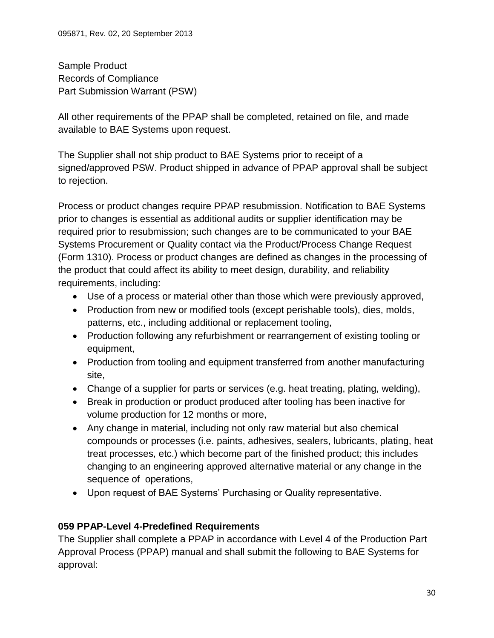Sample Product Records of Compliance Part Submission Warrant (PSW)

All other requirements of the PPAP shall be completed, retained on file, and made available to BAE Systems upon request.

The Supplier shall not ship product to BAE Systems prior to receipt of a signed/approved PSW. Product shipped in advance of PPAP approval shall be subject to rejection.

Process or product changes require PPAP resubmission. Notification to BAE Systems prior to changes is essential as additional audits or supplier identification may be required prior to resubmission; such changes are to be communicated to your BAE Systems Procurement or Quality contact via the Product/Process Change Request (Form 1310). Process or product changes are defined as changes in the processing of the product that could affect its ability to meet design, durability, and reliability requirements, including:

- Use of a process or material other than those which were previously approved,
- Production from new or modified tools (except perishable tools), dies, molds, patterns, etc., including additional or replacement tooling,
- Production following any refurbishment or rearrangement of existing tooling or equipment,
- Production from tooling and equipment transferred from another manufacturing site,
- Change of a supplier for parts or services (e.g. heat treating, plating, welding),
- Break in production or product produced after tooling has been inactive for volume production for 12 months or more,
- Any change in material, including not only raw material but also chemical compounds or processes (i.e. paints, adhesives, sealers, lubricants, plating, heat treat processes, etc.) which become part of the finished product; this includes changing to an engineering approved alternative material or any change in the sequence of operations,
- Upon request of BAE Systems' Purchasing or Quality representative.

# <span id="page-29-0"></span>**059 PPAP-Level 4-Predefined Requirements**

The Supplier shall complete a PPAP in accordance with Level 4 of the Production Part Approval Process (PPAP) manual and shall submit the following to BAE Systems for approval: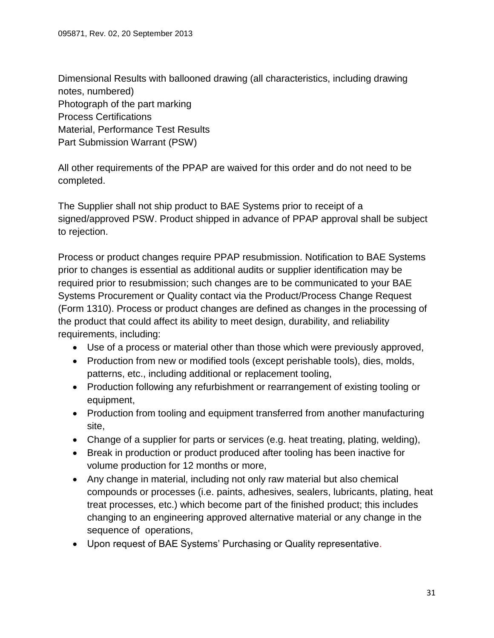Dimensional Results with ballooned drawing (all characteristics, including drawing notes, numbered) Photograph of the part marking Process Certifications Material, Performance Test Results Part Submission Warrant (PSW)

All other requirements of the PPAP are waived for this order and do not need to be completed.

The Supplier shall not ship product to BAE Systems prior to receipt of a signed/approved PSW. Product shipped in advance of PPAP approval shall be subject to rejection.

Process or product changes require PPAP resubmission. Notification to BAE Systems prior to changes is essential as additional audits or supplier identification may be required prior to resubmission; such changes are to be communicated to your BAE Systems Procurement or Quality contact via the Product/Process Change Request (Form 1310). Process or product changes are defined as changes in the processing of the product that could affect its ability to meet design, durability, and reliability requirements, including:

- Use of a process or material other than those which were previously approved,
- Production from new or modified tools (except perishable tools), dies, molds, patterns, etc., including additional or replacement tooling,
- Production following any refurbishment or rearrangement of existing tooling or equipment,
- Production from tooling and equipment transferred from another manufacturing site,
- Change of a supplier for parts or services (e.g. heat treating, plating, welding),
- Break in production or product produced after tooling has been inactive for volume production for 12 months or more,
- Any change in material, including not only raw material but also chemical compounds or processes (i.e. paints, adhesives, sealers, lubricants, plating, heat treat processes, etc.) which become part of the finished product; this includes changing to an engineering approved alternative material or any change in the sequence of operations,
- Upon request of BAE Systems' Purchasing or Quality representative.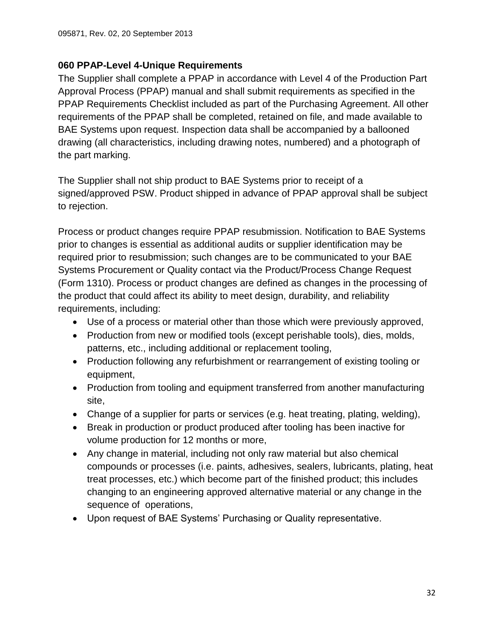# <span id="page-31-0"></span>**060 PPAP-Level 4-Unique Requirements**

The Supplier shall complete a PPAP in accordance with Level 4 of the Production Part Approval Process (PPAP) manual and shall submit requirements as specified in the PPAP Requirements Checklist included as part of the Purchasing Agreement. All other requirements of the PPAP shall be completed, retained on file, and made available to BAE Systems upon request. Inspection data shall be accompanied by a ballooned drawing (all characteristics, including drawing notes, numbered) and a photograph of the part marking.

The Supplier shall not ship product to BAE Systems prior to receipt of a signed/approved PSW. Product shipped in advance of PPAP approval shall be subject to rejection.

Process or product changes require PPAP resubmission. Notification to BAE Systems prior to changes is essential as additional audits or supplier identification may be required prior to resubmission; such changes are to be communicated to your BAE Systems Procurement or Quality contact via the Product/Process Change Request (Form 1310). Process or product changes are defined as changes in the processing of the product that could affect its ability to meet design, durability, and reliability requirements, including:

- Use of a process or material other than those which were previously approved,
- Production from new or modified tools (except perishable tools), dies, molds, patterns, etc., including additional or replacement tooling,
- Production following any refurbishment or rearrangement of existing tooling or equipment,
- Production from tooling and equipment transferred from another manufacturing site,
- Change of a supplier for parts or services (e.g. heat treating, plating, welding),
- Break in production or product produced after tooling has been inactive for volume production for 12 months or more,
- Any change in material, including not only raw material but also chemical compounds or processes (i.e. paints, adhesives, sealers, lubricants, plating, heat treat processes, etc.) which become part of the finished product; this includes changing to an engineering approved alternative material or any change in the sequence of operations,
- Upon request of BAE Systems' Purchasing or Quality representative.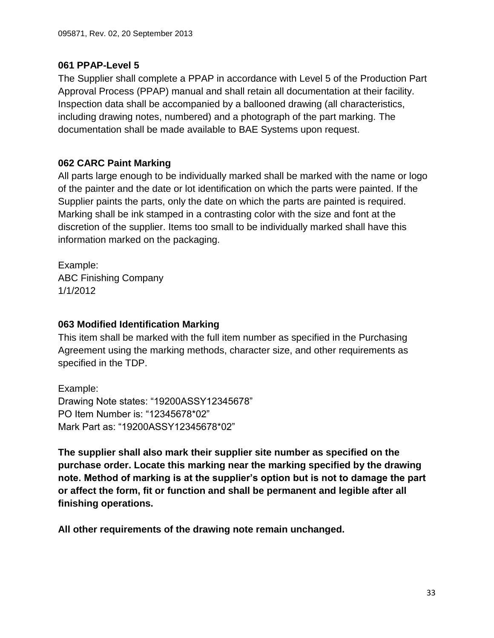## <span id="page-32-0"></span>**061 PPAP-Level 5**

The Supplier shall complete a PPAP in accordance with Level 5 of the Production Part Approval Process (PPAP) manual and shall retain all documentation at their facility. Inspection data shall be accompanied by a ballooned drawing (all characteristics, including drawing notes, numbered) and a photograph of the part marking. The documentation shall be made available to BAE Systems upon request.

# <span id="page-32-1"></span>**062 CARC Paint Marking**

All parts large enough to be individually marked shall be marked with the name or logo of the painter and the date or lot identification on which the parts were painted. If the Supplier paints the parts, only the date on which the parts are painted is required. Marking shall be ink stamped in a contrasting color with the size and font at the discretion of the supplier. Items too small to be individually marked shall have this information marked on the packaging.

Example: ABC Finishing Company 1/1/2012

# <span id="page-32-2"></span>**063 Modified Identification Marking**

This item shall be marked with the full item number as specified in the Purchasing Agreement using the marking methods, character size, and other requirements as specified in the TDP.

Example: Drawing Note states: "19200ASSY12345678" PO Item Number is: "12345678\*02" Mark Part as: "19200ASSY12345678\*02"

**The supplier shall also mark their supplier site number as specified on the purchase order. Locate this marking near the marking specified by the drawing note. Method of marking is at the supplier's option but is not to damage the part or affect the form, fit or function and shall be permanent and legible after all finishing operations.**

**All other requirements of the drawing note remain unchanged.**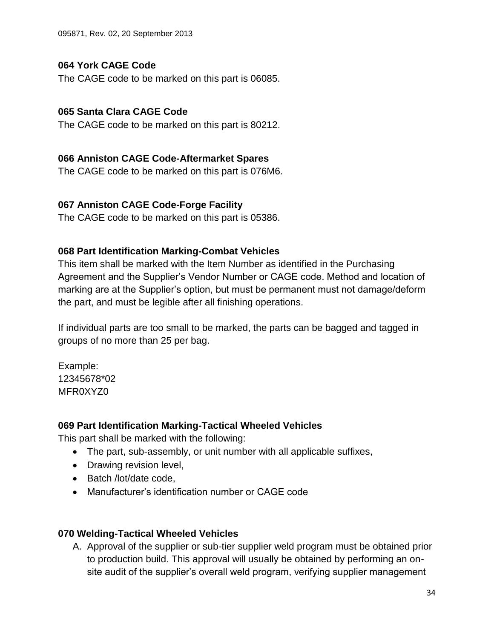095871, Rev. 02, 20 September 2013

#### <span id="page-33-0"></span>**064 York CAGE Code**

The CAGE code to be marked on this part is 06085.

#### <span id="page-33-1"></span>**065 Santa Clara CAGE Code**

The CAGE code to be marked on this part is 80212.

#### <span id="page-33-2"></span>**066 Anniston CAGE Code-Aftermarket Spares**

The CAGE code to be marked on this part is 076M6.

#### <span id="page-33-3"></span>**067 Anniston CAGE Code-Forge Facility**

The CAGE code to be marked on this part is 05386.

#### <span id="page-33-4"></span>**068 Part Identification Marking-Combat Vehicles**

This item shall be marked with the Item Number as identified in the Purchasing Agreement and the Supplier's Vendor Number or CAGE code. Method and location of marking are at the Supplier's option, but must be permanent must not damage/deform the part, and must be legible after all finishing operations.

If individual parts are too small to be marked, the parts can be bagged and tagged in groups of no more than 25 per bag.

Example: 12345678\*02 MFR0XYZ0

#### <span id="page-33-5"></span>**069 Part Identification Marking-Tactical Wheeled Vehicles**

This part shall be marked with the following:

- The part, sub-assembly, or unit number with all applicable suffixes,
- Drawing revision level,
- Batch /lot/date code,
- Manufacturer's identification number or CAGE code

#### <span id="page-33-6"></span>**070 Welding-Tactical Wheeled Vehicles**

A. Approval of the supplier or sub-tier supplier weld program must be obtained prior to production build. This approval will usually be obtained by performing an onsite audit of the supplier's overall weld program, verifying supplier management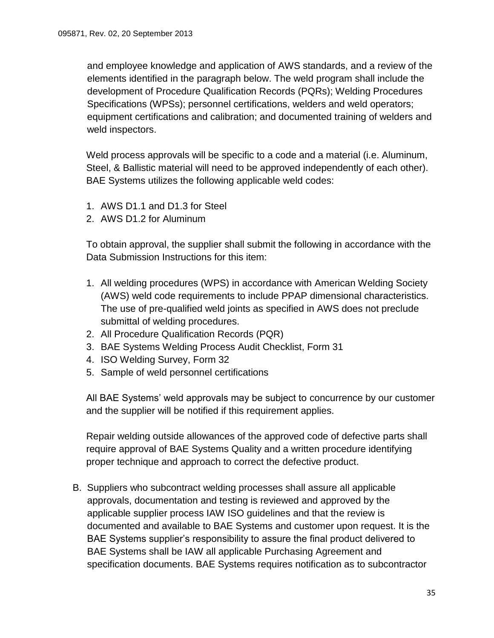and employee knowledge and application of AWS standards, and a review of the elements identified in the paragraph below. The weld program shall include the development of Procedure Qualification Records (PQRs); Welding Procedures Specifications (WPSs); personnel certifications, welders and weld operators; equipment certifications and calibration; and documented training of welders and weld inspectors.

Weld process approvals will be specific to a code and a material (i.e. Aluminum, Steel, & Ballistic material will need to be approved independently of each other). BAE Systems utilizes the following applicable weld codes:

- 1. AWS D1.1 and D1.3 for Steel
- 2. AWS D1.2 for Aluminum

To obtain approval, the supplier shall submit the following in accordance with the Data Submission Instructions for this item:

- 1. All welding procedures (WPS) in accordance with American Welding Society (AWS) weld code requirements to include PPAP dimensional characteristics. The use of pre-qualified weld joints as specified in AWS does not preclude submittal of welding procedures.
- 2. All Procedure Qualification Records (PQR)
- 3. BAE Systems Welding Process Audit Checklist, Form 31
- 4. ISO Welding Survey, Form 32
- 5. Sample of weld personnel certifications

All BAE Systems' weld approvals may be subject to concurrence by our customer and the supplier will be notified if this requirement applies.

Repair welding outside allowances of the approved code of defective parts shall require approval of BAE Systems Quality and a written procedure identifying proper technique and approach to correct the defective product.

B. Suppliers who subcontract welding processes shall assure all applicable approvals, documentation and testing is reviewed and approved by the applicable supplier process IAW ISO guidelines and that the review is documented and available to BAE Systems and customer upon request. It is the BAE Systems supplier's responsibility to assure the final product delivered to BAE Systems shall be IAW all applicable Purchasing Agreement and specification documents. BAE Systems requires notification as to subcontractor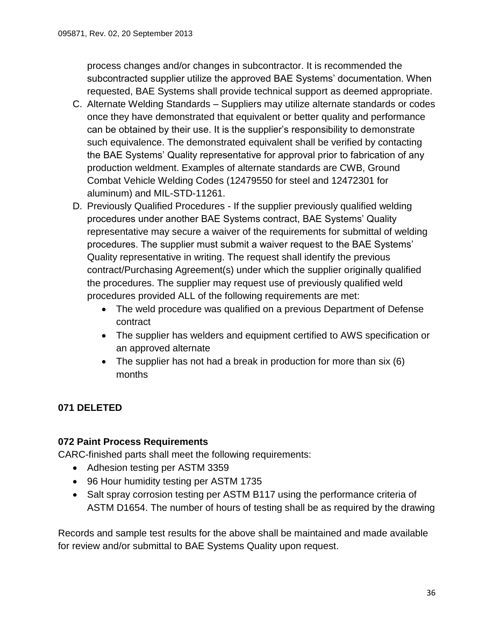process changes and/or changes in subcontractor. It is recommended the subcontracted supplier utilize the approved BAE Systems' documentation. When requested, BAE Systems shall provide technical support as deemed appropriate.

- C. Alternate Welding Standards Suppliers may utilize alternate standards or codes once they have demonstrated that equivalent or better quality and performance can be obtained by their use. It is the supplier's responsibility to demonstrate such equivalence. The demonstrated equivalent shall be verified by contacting the BAE Systems' Quality representative for approval prior to fabrication of any production weldment. Examples of alternate standards are CWB, Ground Combat Vehicle Welding Codes (12479550 for steel and 12472301 for aluminum) and MIL-STD-11261.
- D. Previously Qualified Procedures If the supplier previously qualified welding procedures under another BAE Systems contract, BAE Systems' Quality representative may secure a waiver of the requirements for submittal of welding procedures. The supplier must submit a waiver request to the BAE Systems' Quality representative in writing. The request shall identify the previous contract/Purchasing Agreement(s) under which the supplier originally qualified the procedures. The supplier may request use of previously qualified weld procedures provided ALL of the following requirements are met:
	- The weld procedure was qualified on a previous Department of Defense contract
	- The supplier has welders and equipment certified to AWS specification or an approved alternate
	- The supplier has not had a break in production for more than six (6) months

# <span id="page-35-1"></span><span id="page-35-0"></span>**071 DELETED**

# **072 Paint Process Requirements**

CARC-finished parts shall meet the following requirements:

- Adhesion testing per ASTM 3359
- 96 Hour humidity testing per ASTM 1735
- Salt spray corrosion testing per ASTM B117 using the performance criteria of ASTM D1654. The number of hours of testing shall be as required by the drawing

Records and sample test results for the above shall be maintained and made available for review and/or submittal to BAE Systems Quality upon request.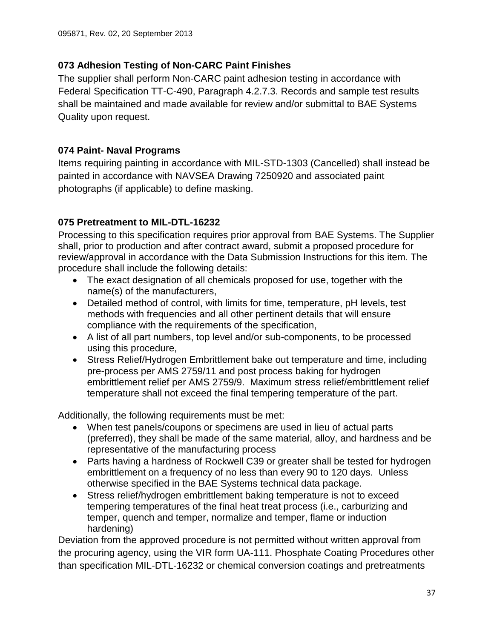# <span id="page-36-0"></span>**073 Adhesion Testing of Non-CARC Paint Finishes**

The supplier shall perform Non-CARC paint adhesion testing in accordance with Federal Specification TT-C-490, Paragraph 4.2.7.3. Records and sample test results shall be maintained and made available for review and/or submittal to BAE Systems Quality upon request.

# <span id="page-36-1"></span>**074 Paint- Naval Programs**

Items requiring painting in accordance with MIL-STD-1303 (Cancelled) shall instead be painted in accordance with NAVSEA Drawing 7250920 and associated paint photographs (if applicable) to define masking.

# <span id="page-36-2"></span>**075 Pretreatment to MIL-DTL-16232**

Processing to this specification requires prior approval from BAE Systems. The Supplier shall, prior to production and after contract award, submit a proposed procedure for review/approval in accordance with the Data Submission Instructions for this item. The procedure shall include the following details:

- The exact designation of all chemicals proposed for use, together with the name(s) of the manufacturers,
- Detailed method of control, with limits for time, temperature, pH levels, test methods with frequencies and all other pertinent details that will ensure compliance with the requirements of the specification,
- A list of all part numbers, top level and/or sub-components, to be processed using this procedure,
- Stress Relief/Hydrogen Embrittlement bake out temperature and time, including pre-process per AMS 2759/11 and post process baking for hydrogen embrittlement relief per AMS 2759/9. Maximum stress relief/embrittlement relief temperature shall not exceed the final tempering temperature of the part.

Additionally, the following requirements must be met:

- When test panels/coupons or specimens are used in lieu of actual parts (preferred), they shall be made of the same material, alloy, and hardness and be representative of the manufacturing process
- Parts having a hardness of Rockwell C39 or greater shall be tested for hydrogen embrittlement on a frequency of no less than every 90 to 120 days. Unless otherwise specified in the BAE Systems technical data package.
- Stress relief/hydrogen embrittlement baking temperature is not to exceed tempering temperatures of the final heat treat process (i.e., carburizing and temper, quench and temper, normalize and temper, flame or induction hardening)

Deviation from the approved procedure is not permitted without written approval from the procuring agency, using the VIR form UA-111. Phosphate Coating Procedures other than specification MIL-DTL-16232 or chemical conversion coatings and pretreatments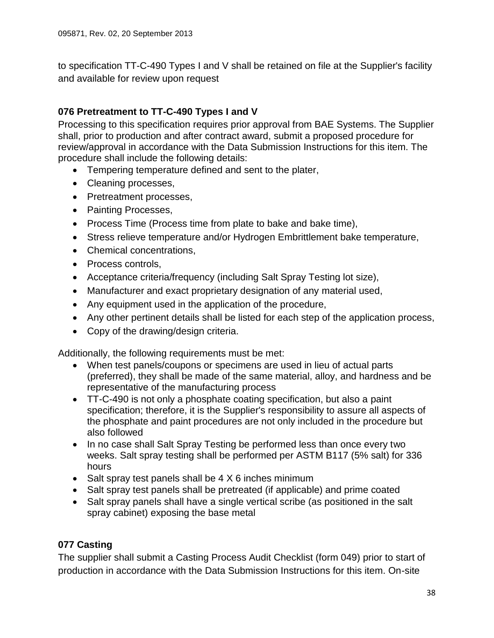to specification TT-C-490 Types I and V shall be retained on file at the Supplier's facility and available for review upon request

# <span id="page-37-0"></span>**076 Pretreatment to TT-C-490 Types I and V**

Processing to this specification requires prior approval from BAE Systems. The Supplier shall, prior to production and after contract award, submit a proposed procedure for review/approval in accordance with the Data Submission Instructions for this item. The procedure shall include the following details:

- Tempering temperature defined and sent to the plater,
- Cleaning processes,
- Pretreatment processes,
- Painting Processes,
- Process Time (Process time from plate to bake and bake time),
- Stress relieve temperature and/or Hydrogen Embrittlement bake temperature,
- Chemical concentrations,
- Process controls,
- Acceptance criteria/frequency (including Salt Spray Testing lot size),
- Manufacturer and exact proprietary designation of any material used,
- Any equipment used in the application of the procedure,
- Any other pertinent details shall be listed for each step of the application process,
- Copy of the drawing/design criteria.

Additionally, the following requirements must be met:

- When test panels/coupons or specimens are used in lieu of actual parts (preferred), they shall be made of the same material, alloy, and hardness and be representative of the manufacturing process
- TT-C-490 is not only a phosphate coating specification, but also a paint specification; therefore, it is the Supplier's responsibility to assure all aspects of the phosphate and paint procedures are not only included in the procedure but also followed
- In no case shall Salt Spray Testing be performed less than once every two weeks. Salt spray testing shall be performed per ASTM B117 (5% salt) for 336 hours
- Salt spray test panels shall be  $4 \times 6$  inches minimum
- Salt spray test panels shall be pretreated (if applicable) and prime coated
- Salt spray panels shall have a single vertical scribe (as positioned in the salt spray cabinet) exposing the base metal

# <span id="page-37-1"></span>**077 Casting**

The supplier shall submit a Casting Process Audit Checklist (form 049) prior to start of production in accordance with the Data Submission Instructions for this item. On-site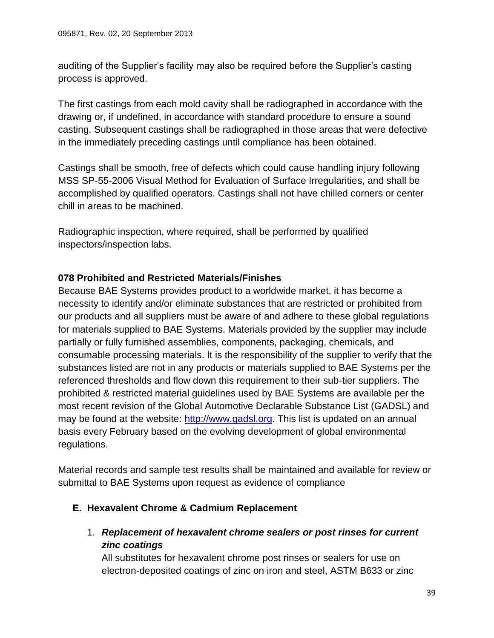auditing of the Supplier's facility may also be required before the Supplier's casting process is approved.

The first castings from each mold cavity shall be radiographed in accordance with the drawing or, if undefined, in accordance with standard procedure to ensure a sound casting. Subsequent castings shall be radiographed in those areas that were defective in the immediately preceding castings until compliance has been obtained.

Castings shall be smooth, free of defects which could cause handling injury following MSS SP-55-2006 Visual Method for Evaluation of Surface Irregularities, and shall be accomplished by qualified operators. Castings shall not have chilled corners or center chill in areas to be machined.

Radiographic inspection, where required, shall be performed by qualified inspectors/inspection labs.

# <span id="page-38-0"></span>**078 Prohibited and Restricted Materials/Finishes**

Because BAE Systems provides product to a worldwide market, it has become a necessity to identify and/or eliminate substances that are restricted or prohibited from our products and all suppliers must be aware of and adhere to these global regulations for materials supplied to BAE Systems. Materials provided by the supplier may include partially or fully furnished assemblies, components, packaging, chemicals, and consumable processing materials. It is the responsibility of the supplier to verify that the substances listed are not in any products or materials supplied to BAE Systems per the referenced thresholds and flow down this requirement to their sub-tier suppliers. The prohibited & restricted material guidelines used by BAE Systems are available per the most recent revision of the Global Automotive Declarable Substance List (GADSL) and may be found at the website: [http://www.gadsl.org.](http://www.gadsl.org/) This list is updated on an annual basis every February based on the evolving development of global environmental regulations.

Material records and sample test results shall be maintained and available for review or submittal to BAE Systems upon request as evidence of compliance

# <span id="page-38-1"></span>**E. Hexavalent Chrome & Cadmium Replacement**

1. *Replacement of hexavalent chrome sealers or post rinses for current zinc coatings*

All substitutes for hexavalent chrome post rinses or sealers for use on electron-deposited coatings of zinc on iron and steel, ASTM B633 or zinc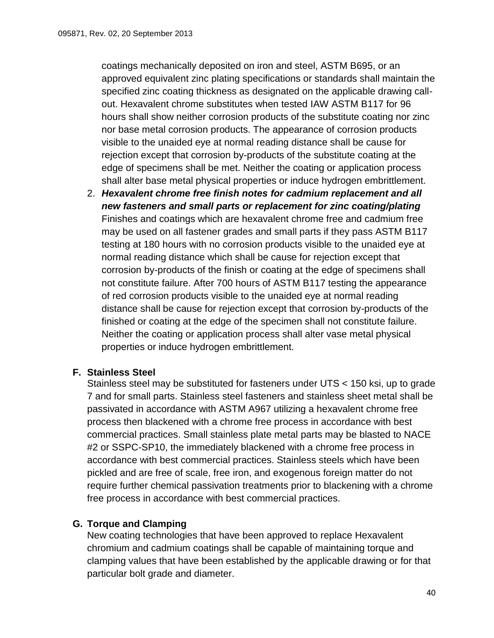coatings mechanically deposited on iron and steel, ASTM B695, or an approved equivalent zinc plating specifications or standards shall maintain the specified zinc coating thickness as designated on the applicable drawing callout. Hexavalent chrome substitutes when tested IAW ASTM B117 for 96 hours shall show neither corrosion products of the substitute coating nor zinc nor base metal corrosion products. The appearance of corrosion products visible to the unaided eye at normal reading distance shall be cause for rejection except that corrosion by-products of the substitute coating at the edge of specimens shall be met. Neither the coating or application process shall alter base metal physical properties or induce hydrogen embrittlement.

2. *Hexavalent chrome free finish notes for cadmium replacement and all new fasteners and small parts or replacement for zinc coating/plating* Finishes and coatings which are hexavalent chrome free and cadmium free may be used on all fastener grades and small parts if they pass ASTM B117 testing at 180 hours with no corrosion products visible to the unaided eye at normal reading distance which shall be cause for rejection except that corrosion by-products of the finish or coating at the edge of specimens shall not constitute failure. After 700 hours of ASTM B117 testing the appearance of red corrosion products visible to the unaided eye at normal reading distance shall be cause for rejection except that corrosion by-products of the finished or coating at the edge of the specimen shall not constitute failure. Neither the coating or application process shall alter vase metal physical properties or induce hydrogen embrittlement.

# <span id="page-39-0"></span>**F. Stainless Steel**

Stainless steel may be substituted for fasteners under UTS < 150 ksi, up to grade 7 and for small parts. Stainless steel fasteners and stainless sheet metal shall be passivated in accordance with ASTM A967 utilizing a hexavalent chrome free process then blackened with a chrome free process in accordance with best commercial practices. Small stainless plate metal parts may be blasted to NACE #2 or SSPC-SP10, the immediately blackened with a chrome free process in accordance with best commercial practices. Stainless steels which have been pickled and are free of scale, free iron, and exogenous foreign matter do not require further chemical passivation treatments prior to blackening with a chrome free process in accordance with best commercial practices.

# <span id="page-39-1"></span>**G. Torque and Clamping**

New coating technologies that have been approved to replace Hexavalent chromium and cadmium coatings shall be capable of maintaining torque and clamping values that have been established by the applicable drawing or for that particular bolt grade and diameter.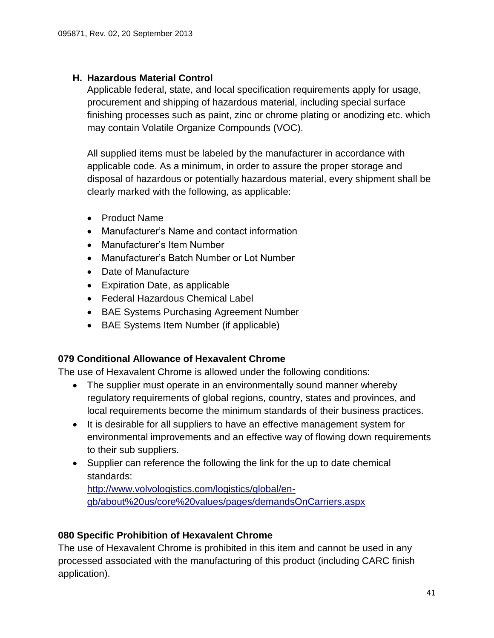## <span id="page-40-0"></span>**H. Hazardous Material Control**

Applicable federal, state, and local specification requirements apply for usage, procurement and shipping of hazardous material, including special surface finishing processes such as paint, zinc or chrome plating or anodizing etc. which may contain Volatile Organize Compounds (VOC).

All supplied items must be labeled by the manufacturer in accordance with applicable code. As a minimum, in order to assure the proper storage and disposal of hazardous or potentially hazardous material, every shipment shall be clearly marked with the following, as applicable:

- Product Name
- Manufacturer's Name and contact information
- Manufacturer's Item Number
- Manufacturer's Batch Number or Lot Number
- Date of Manufacture
- Expiration Date, as applicable
- Federal Hazardous Chemical Label
- BAE Systems Purchasing Agreement Number
- BAE Systems Item Number (if applicable)

#### <span id="page-40-1"></span>**079 Conditional Allowance of Hexavalent Chrome**

The use of Hexavalent Chrome is allowed under the following conditions:

- The supplier must operate in an environmentally sound manner whereby regulatory requirements of global regions, country, states and provinces, and local requirements become the minimum standards of their business practices.
- It is desirable for all suppliers to have an effective management system for environmental improvements and an effective way of flowing down requirements to their sub suppliers.
- Supplier can reference the following the link for the up to date chemical standards:

[http://www.volvologistics.com/logistics/global/en](http://www.volvologistics.com/logistics/global/en-gb/about%20us/core%20values/pages/demandsOnCarriers.aspx)[gb/about%20us/core%20values/pages/demandsOnCarriers.aspx](http://www.volvologistics.com/logistics/global/en-gb/about%20us/core%20values/pages/demandsOnCarriers.aspx)

# <span id="page-40-2"></span>**080 Specific Prohibition of Hexavalent Chrome**

The use of Hexavalent Chrome is prohibited in this item and cannot be used in any processed associated with the manufacturing of this product (including CARC finish application).